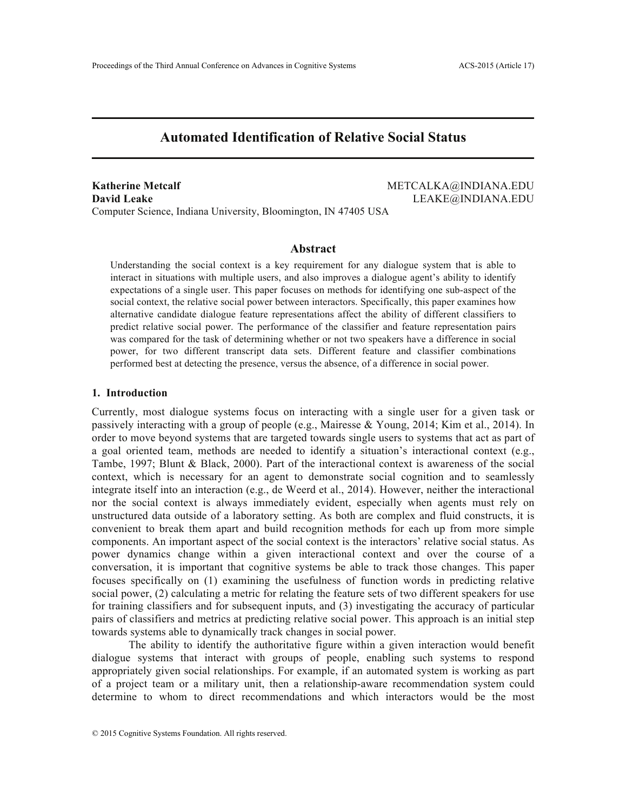# **Automated Identification of Relative Social Status**

**Katherine Metcalf METCALKA@INDIANA.EDU David Leake** LEAKE@INDIANA.EDU Computer Science, Indiana University, Bloomington, IN 47405 USA

# **Abstract**

Understanding the social context is a key requirement for any dialogue system that is able to interact in situations with multiple users, and also improves a dialogue agent's ability to identify expectations of a single user. This paper focuses on methods for identifying one sub-aspect of the social context, the relative social power between interactors. Specifically, this paper examines how alternative candidate dialogue feature representations affect the ability of different classifiers to predict relative social power. The performance of the classifier and feature representation pairs was compared for the task of determining whether or not two speakers have a difference in social power, for two different transcript data sets. Different feature and classifier combinations performed best at detecting the presence, versus the absence, of a difference in social power.

#### **1. Introduction**

Currently, most dialogue systems focus on interacting with a single user for a given task or passively interacting with a group of people (e.g., Mairesse & Young, 2014; Kim et al., 2014). In order to move beyond systems that are targeted towards single users to systems that act as part of a goal oriented team, methods are needed to identify a situation's interactional context (e.g., Tambe, 1997; Blunt & Black, 2000). Part of the interactional context is awareness of the social context, which is necessary for an agent to demonstrate social cognition and to seamlessly integrate itself into an interaction (e.g., de Weerd et al., 2014). However, neither the interactional nor the social context is always immediately evident, especially when agents must rely on unstructured data outside of a laboratory setting. As both are complex and fluid constructs, it is convenient to break them apart and build recognition methods for each up from more simple components. An important aspect of the social context is the interactors' relative social status. As power dynamics change within a given interactional context and over the course of a conversation, it is important that cognitive systems be able to track those changes. This paper focuses specifically on (1) examining the usefulness of function words in predicting relative social power, (2) calculating a metric for relating the feature sets of two different speakers for use for training classifiers and for subsequent inputs, and (3) investigating the accuracy of particular pairs of classifiers and metrics at predicting relative social power. This approach is an initial step towards systems able to dynamically track changes in social power.

The ability to identify the authoritative figure within a given interaction would benefit dialogue systems that interact with groups of people, enabling such systems to respond appropriately given social relationships. For example, if an automated system is working as part of a project team or a military unit, then a relationship-aware recommendation system could determine to whom to direct recommendations and which interactors would be the most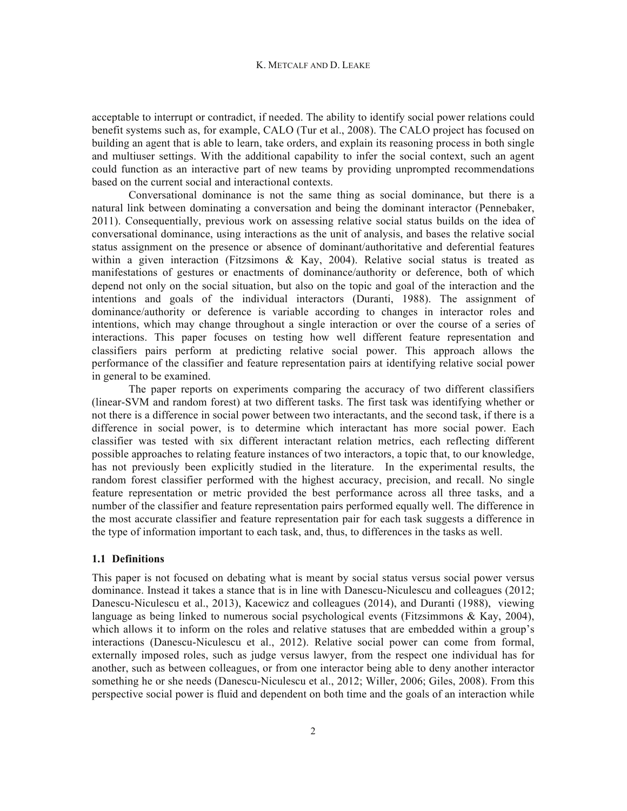acceptable to interrupt or contradict, if needed. The ability to identify social power relations could benefit systems such as, for example, CALO (Tur et al., 2008). The CALO project has focused on building an agent that is able to learn, take orders, and explain its reasoning process in both single and multiuser settings. With the additional capability to infer the social context, such an agent could function as an interactive part of new teams by providing unprompted recommendations based on the current social and interactional contexts.

Conversational dominance is not the same thing as social dominance, but there is a natural link between dominating a conversation and being the dominant interactor (Pennebaker, 2011). Consequentially, previous work on assessing relative social status builds on the idea of conversational dominance, using interactions as the unit of analysis, and bases the relative social status assignment on the presence or absence of dominant/authoritative and deferential features within a given interaction (Fitzsimons & Kay, 2004). Relative social status is treated as manifestations of gestures or enactments of dominance/authority or deference, both of which depend not only on the social situation, but also on the topic and goal of the interaction and the intentions and goals of the individual interactors (Duranti, 1988). The assignment of dominance/authority or deference is variable according to changes in interactor roles and intentions, which may change throughout a single interaction or over the course of a series of interactions. This paper focuses on testing how well different feature representation and classifiers pairs perform at predicting relative social power. This approach allows the performance of the classifier and feature representation pairs at identifying relative social power in general to be examined.

The paper reports on experiments comparing the accuracy of two different classifiers (linear-SVM and random forest) at two different tasks. The first task was identifying whether or not there is a difference in social power between two interactants, and the second task, if there is a difference in social power, is to determine which interactant has more social power. Each classifier was tested with six different interactant relation metrics, each reflecting different possible approaches to relating feature instances of two interactors, a topic that, to our knowledge, has not previously been explicitly studied in the literature. In the experimental results, the random forest classifier performed with the highest accuracy, precision, and recall. No single feature representation or metric provided the best performance across all three tasks, and a number of the classifier and feature representation pairs performed equally well. The difference in the most accurate classifier and feature representation pair for each task suggests a difference in the type of information important to each task, and, thus, to differences in the tasks as well.

# **1.1 Definitions**

This paper is not focused on debating what is meant by social status versus social power versus dominance. Instead it takes a stance that is in line with Danescu-Niculescu and colleagues (2012; Danescu-Niculescu et al., 2013), Kacewicz and colleagues (2014), and Duranti (1988), viewing language as being linked to numerous social psychological events (Fitzsimmons  $\&$  Kay, 2004), which allows it to inform on the roles and relative statuses that are embedded within a group's interactions (Danescu-Niculescu et al., 2012). Relative social power can come from formal, externally imposed roles, such as judge versus lawyer, from the respect one individual has for another, such as between colleagues, or from one interactor being able to deny another interactor something he or she needs (Danescu-Niculescu et al., 2012; Willer, 2006; Giles, 2008). From this perspective social power is fluid and dependent on both time and the goals of an interaction while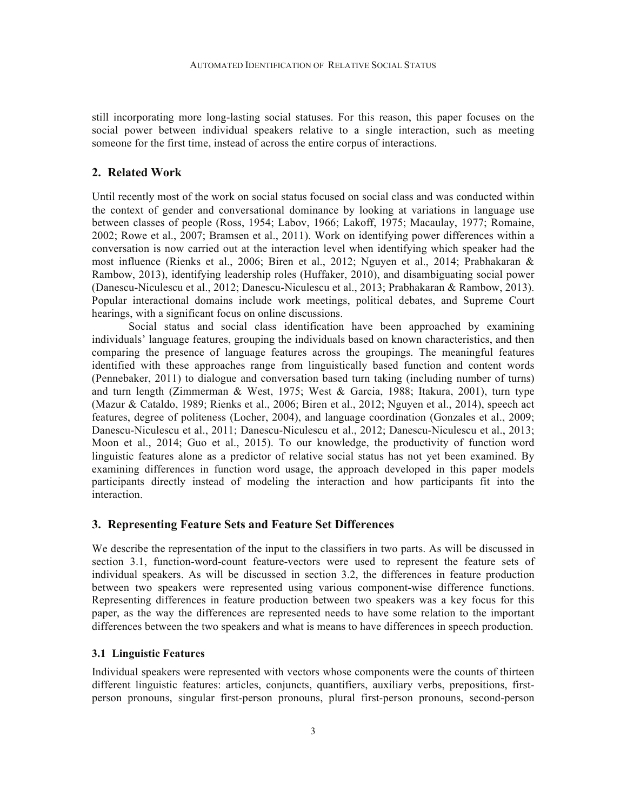still incorporating more long-lasting social statuses. For this reason, this paper focuses on the social power between individual speakers relative to a single interaction, such as meeting someone for the first time, instead of across the entire corpus of interactions.

#### **2. Related Work**

Until recently most of the work on social status focused on social class and was conducted within the context of gender and conversational dominance by looking at variations in language use between classes of people (Ross, 1954; Labov, 1966; Lakoff, 1975; Macaulay, 1977; Romaine, 2002; Rowe et al., 2007; Bramsen et al., 2011). Work on identifying power differences within a conversation is now carried out at the interaction level when identifying which speaker had the most influence (Rienks et al., 2006; Biren et al., 2012; Nguyen et al., 2014; Prabhakaran & Rambow, 2013), identifying leadership roles (Huffaker, 2010), and disambiguating social power (Danescu-Niculescu et al., 2012; Danescu-Niculescu et al., 2013; Prabhakaran & Rambow, 2013). Popular interactional domains include work meetings, political debates, and Supreme Court hearings, with a significant focus on online discussions.

Social status and social class identification have been approached by examining individuals' language features, grouping the individuals based on known characteristics, and then comparing the presence of language features across the groupings. The meaningful features identified with these approaches range from linguistically based function and content words (Pennebaker, 2011) to dialogue and conversation based turn taking (including number of turns) and turn length (Zimmerman & West, 1975; West & Garcia, 1988; Itakura, 2001), turn type (Mazur & Cataldo, 1989; Rienks et al., 2006; Biren et al., 2012; Nguyen et al., 2014), speech act features, degree of politeness (Locher, 2004), and language coordination (Gonzales et al., 2009; Danescu-Niculescu et al., 2011; Danescu-Niculescu et al., 2012; Danescu-Niculescu et al., 2013; Moon et al., 2014; Guo et al., 2015). To our knowledge, the productivity of function word linguistic features alone as a predictor of relative social status has not yet been examined. By examining differences in function word usage, the approach developed in this paper models participants directly instead of modeling the interaction and how participants fit into the interaction.

# **3. Representing Feature Sets and Feature Set Differences**

We describe the representation of the input to the classifiers in two parts. As will be discussed in section 3.1, function-word-count feature-vectors were used to represent the feature sets of individual speakers. As will be discussed in section 3.2, the differences in feature production between two speakers were represented using various component-wise difference functions. Representing differences in feature production between two speakers was a key focus for this paper, as the way the differences are represented needs to have some relation to the important differences between the two speakers and what is means to have differences in speech production.

### **3.1 Linguistic Features**

Individual speakers were represented with vectors whose components were the counts of thirteen different linguistic features: articles, conjuncts, quantifiers, auxiliary verbs, prepositions, firstperson pronouns, singular first-person pronouns, plural first-person pronouns, second-person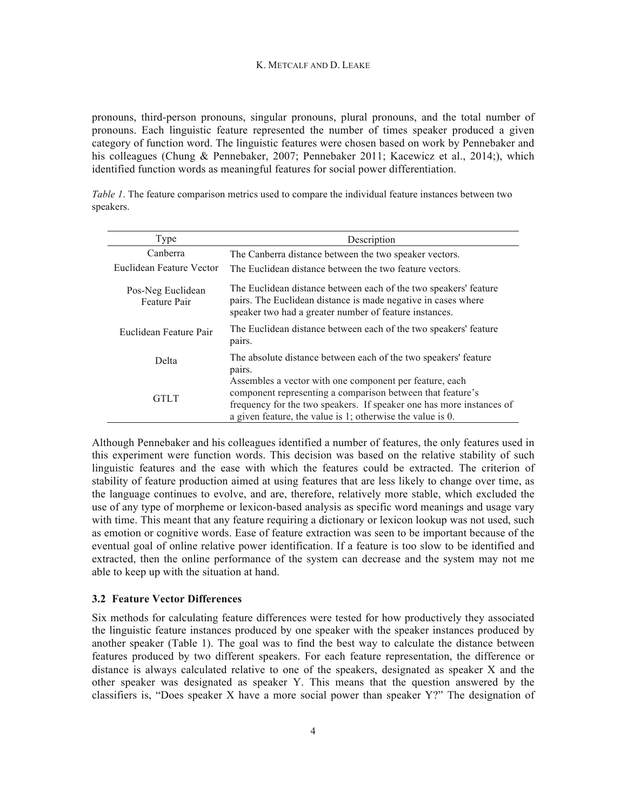#### K. METCALF AND D. LEAKE

pronouns, third-person pronouns, singular pronouns, plural pronouns, and the total number of pronouns. Each linguistic feature represented the number of times speaker produced a given category of function word. The linguistic features were chosen based on work by Pennebaker and his colleagues (Chung & Pennebaker, 2007; Pennebaker 2011; Kacewicz et al., 2014;), which identified function words as meaningful features for social power differentiation.

*Table 1*. The feature comparison metrics used to compare the individual feature instances between two speakers.

| Type                              | Description                                                                                                                                                                                                                                                 |
|-----------------------------------|-------------------------------------------------------------------------------------------------------------------------------------------------------------------------------------------------------------------------------------------------------------|
| Canberra                          | The Canberra distance between the two speaker vectors.                                                                                                                                                                                                      |
| Euclidean Feature Vector          | The Euclidean distance between the two feature vectors.                                                                                                                                                                                                     |
| Pos-Neg Euclidean<br>Feature Pair | The Euclidean distance between each of the two speakers' feature<br>pairs. The Euclidean distance is made negative in cases where<br>speaker two had a greater number of feature instances.                                                                 |
| Euclidean Feature Pair            | The Euclidean distance between each of the two speakers' feature<br>pairs.                                                                                                                                                                                  |
| Delta                             | The absolute distance between each of the two speakers' feature<br>pairs.                                                                                                                                                                                   |
| <b>GTLT</b>                       | Assembles a vector with one component per feature, each<br>component representing a comparison between that feature's<br>frequency for the two speakers. If speaker one has more instances of<br>a given feature, the value is 1; otherwise the value is 0. |

Although Pennebaker and his colleagues identified a number of features, the only features used in this experiment were function words. This decision was based on the relative stability of such linguistic features and the ease with which the features could be extracted. The criterion of stability of feature production aimed at using features that are less likely to change over time, as the language continues to evolve, and are, therefore, relatively more stable, which excluded the use of any type of morpheme or lexicon-based analysis as specific word meanings and usage vary with time. This meant that any feature requiring a dictionary or lexicon lookup was not used, such as emotion or cognitive words. Ease of feature extraction was seen to be important because of the eventual goal of online relative power identification. If a feature is too slow to be identified and extracted, then the online performance of the system can decrease and the system may not me able to keep up with the situation at hand.

#### **3.2 Feature Vector Differences**

Six methods for calculating feature differences were tested for how productively they associated the linguistic feature instances produced by one speaker with the speaker instances produced by another speaker (Table 1). The goal was to find the best way to calculate the distance between features produced by two different speakers. For each feature representation, the difference or distance is always calculated relative to one of the speakers, designated as speaker X and the other speaker was designated as speaker Y. This means that the question answered by the classifiers is, "Does speaker X have a more social power than speaker Y?" The designation of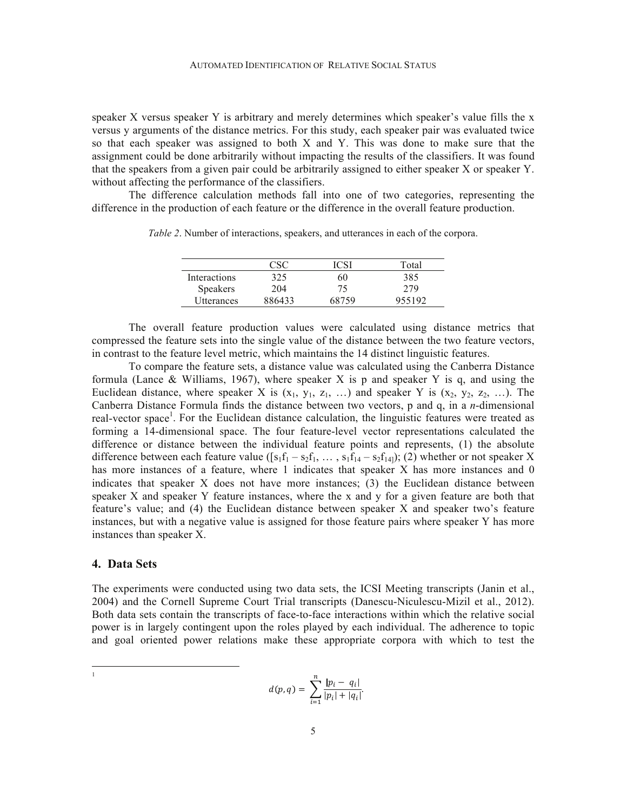speaker X versus speaker Y is arbitrary and merely determines which speaker's value fills the x versus y arguments of the distance metrics. For this study, each speaker pair was evaluated twice so that each speaker was assigned to both X and Y. This was done to make sure that the assignment could be done arbitrarily without impacting the results of the classifiers. It was found that the speakers from a given pair could be arbitrarily assigned to either speaker X or speaker Y. without affecting the performance of the classifiers.

The difference calculation methods fall into one of two categories, representing the difference in the production of each feature or the difference in the overall feature production.

|                 | csc    |       | Total  |
|-----------------|--------|-------|--------|
| Interactions    | 325    | 60    | 385    |
| <b>Speakers</b> | 204    | 75    | 279    |
| Utterances      | 886433 | 68759 | 955192 |

*Table 2*. Number of interactions, speakers, and utterances in each of the corpora.

The overall feature production values were calculated using distance metrics that compressed the feature sets into the single value of the distance between the two feature vectors, in contrast to the feature level metric, which maintains the 14 distinct linguistic features.

To compare the feature sets, a distance value was calculated using the Canberra Distance formula (Lance & Williams, 1967), where speaker X is p and speaker Y is q, and using the Euclidean distance, where speaker X is  $(x_1, y_1, z_1, ...)$  and speaker Y is  $(x_2, y_2, z_2, ...)$ . The Canberra Distance Formula finds the distance between two vectors, p and q, in a *n*-dimensional real-vector space<sup>1</sup>. For the Euclidean distance calculation, the linguistic features were treated as forming a 14-dimensional space. The four feature-level vector representations calculated the difference or distance between the individual feature points and represents, (1) the absolute difference between each feature value ( $[s_1f_1 - s_2f_1, \ldots, s_1f_{14} - s_2f_{14}]$ ); (2) whether or not speaker X has more instances of a feature, where 1 indicates that speaker X has more instances and 0 indicates that speaker X does not have more instances; (3) the Euclidean distance between speaker X and speaker Y feature instances, where the x and y for a given feature are both that feature's value; and (4) the Euclidean distance between speaker X and speaker two's feature instances, but with a negative value is assigned for those feature pairs where speaker Y has more instances than speaker X.

# **4. Data Sets**

|<br>|<br>|

The experiments were conducted using two data sets, the ICSI Meeting transcripts (Janin et al., 2004) and the Cornell Supreme Court Trial transcripts (Danescu-Niculescu-Mizil et al., 2012). Both data sets contain the transcripts of face-to-face interactions within which the relative social power is in largely contingent upon the roles played by each individual. The adherence to topic and goal oriented power relations make these appropriate corpora with which to test the

$$
d(p,q) = \sum_{i=1}^{n} \frac{|p_i - q_i|}{|p_i| + |q_i|}.
$$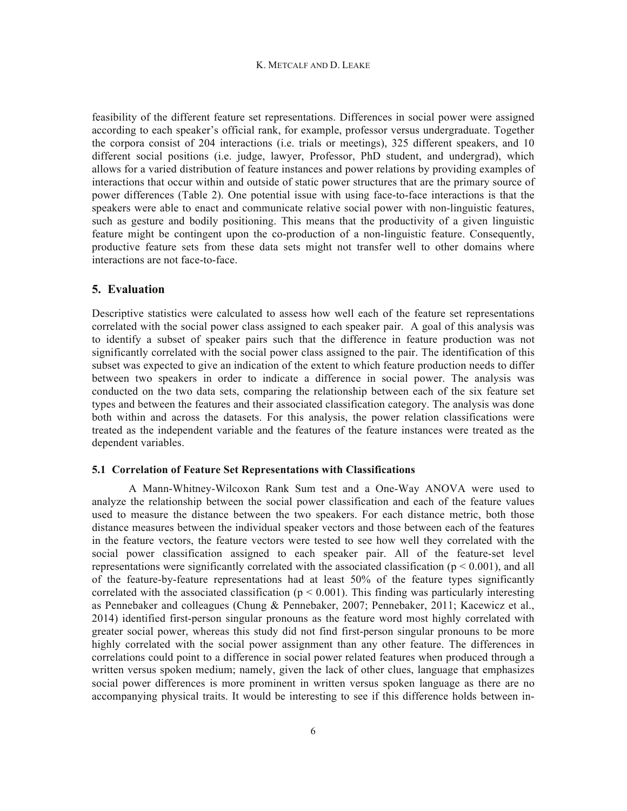#### K. METCALF AND D. LEAKE

feasibility of the different feature set representations. Differences in social power were assigned according to each speaker's official rank, for example, professor versus undergraduate. Together the corpora consist of 204 interactions (i.e. trials or meetings), 325 different speakers, and 10 different social positions (i.e. judge, lawyer, Professor, PhD student, and undergrad), which allows for a varied distribution of feature instances and power relations by providing examples of interactions that occur within and outside of static power structures that are the primary source of power differences (Table 2). One potential issue with using face-to-face interactions is that the speakers were able to enact and communicate relative social power with non-linguistic features, such as gesture and bodily positioning. This means that the productivity of a given linguistic feature might be contingent upon the co-production of a non-linguistic feature. Consequently, productive feature sets from these data sets might not transfer well to other domains where interactions are not face-to-face.

# **5. Evaluation**

Descriptive statistics were calculated to assess how well each of the feature set representations correlated with the social power class assigned to each speaker pair. A goal of this analysis was to identify a subset of speaker pairs such that the difference in feature production was not significantly correlated with the social power class assigned to the pair. The identification of this subset was expected to give an indication of the extent to which feature production needs to differ between two speakers in order to indicate a difference in social power. The analysis was conducted on the two data sets, comparing the relationship between each of the six feature set types and between the features and their associated classification category. The analysis was done both within and across the datasets. For this analysis, the power relation classifications were treated as the independent variable and the features of the feature instances were treated as the dependent variables.

#### **5.1 Correlation of Feature Set Representations with Classifications**

A Mann-Whitney-Wilcoxon Rank Sum test and a One-Way ANOVA were used to analyze the relationship between the social power classification and each of the feature values used to measure the distance between the two speakers. For each distance metric, both those distance measures between the individual speaker vectors and those between each of the features in the feature vectors, the feature vectors were tested to see how well they correlated with the social power classification assigned to each speaker pair. All of the feature-set level representations were significantly correlated with the associated classification ( $p < 0.001$ ), and all of the feature-by-feature representations had at least 50% of the feature types significantly correlated with the associated classification ( $p < 0.001$ ). This finding was particularly interesting as Pennebaker and colleagues (Chung & Pennebaker, 2007; Pennebaker, 2011; Kacewicz et al., 2014) identified first-person singular pronouns as the feature word most highly correlated with greater social power, whereas this study did not find first-person singular pronouns to be more highly correlated with the social power assignment than any other feature. The differences in correlations could point to a difference in social power related features when produced through a written versus spoken medium; namely, given the lack of other clues, language that emphasizes social power differences is more prominent in written versus spoken language as there are no accompanying physical traits. It would be interesting to see if this difference holds between in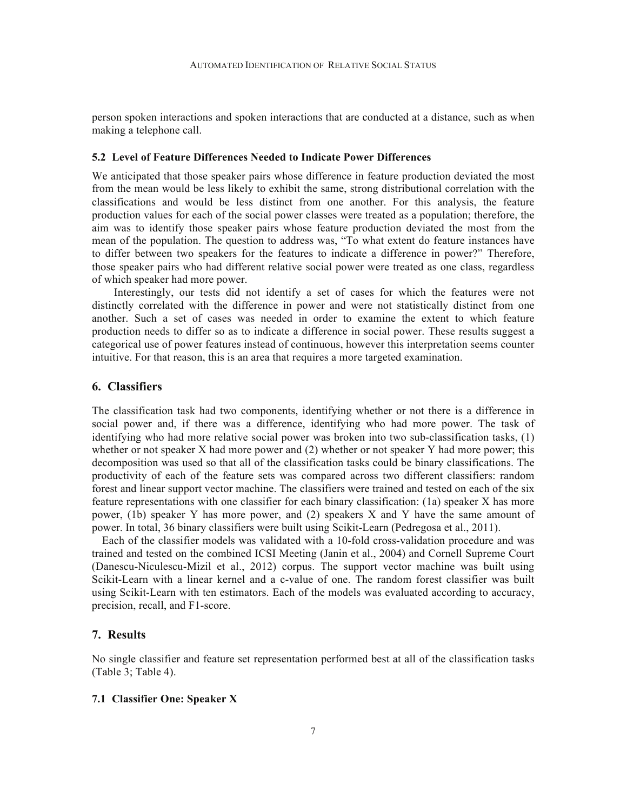person spoken interactions and spoken interactions that are conducted at a distance, such as when making a telephone call.

#### **5.2 Level of Feature Differences Needed to Indicate Power Differences**

We anticipated that those speaker pairs whose difference in feature production deviated the most from the mean would be less likely to exhibit the same, strong distributional correlation with the classifications and would be less distinct from one another. For this analysis, the feature production values for each of the social power classes were treated as a population; therefore, the aim was to identify those speaker pairs whose feature production deviated the most from the mean of the population. The question to address was, "To what extent do feature instances have to differ between two speakers for the features to indicate a difference in power?" Therefore, those speaker pairs who had different relative social power were treated as one class, regardless of which speaker had more power.

Interestingly, our tests did not identify a set of cases for which the features were not distinctly correlated with the difference in power and were not statistically distinct from one another. Such a set of cases was needed in order to examine the extent to which feature production needs to differ so as to indicate a difference in social power. These results suggest a categorical use of power features instead of continuous, however this interpretation seems counter intuitive. For that reason, this is an area that requires a more targeted examination.

#### **6. Classifiers**

The classification task had two components, identifying whether or not there is a difference in social power and, if there was a difference, identifying who had more power. The task of identifying who had more relative social power was broken into two sub-classification tasks, (1) whether or not speaker X had more power and (2) whether or not speaker Y had more power; this decomposition was used so that all of the classification tasks could be binary classifications. The productivity of each of the feature sets was compared across two different classifiers: random forest and linear support vector machine. The classifiers were trained and tested on each of the six feature representations with one classifier for each binary classification: (1a) speaker X has more power, (1b) speaker Y has more power, and (2) speakers X and Y have the same amount of power. In total, 36 binary classifiers were built using Scikit-Learn (Pedregosa et al., 2011).

 Each of the classifier models was validated with a 10-fold cross-validation procedure and was trained and tested on the combined ICSI Meeting (Janin et al., 2004) and Cornell Supreme Court (Danescu-Niculescu-Mizil et al., 2012) corpus. The support vector machine was built using Scikit-Learn with a linear kernel and a c-value of one. The random forest classifier was built using Scikit-Learn with ten estimators. Each of the models was evaluated according to accuracy, precision, recall, and F1-score.

#### **7. Results**

No single classifier and feature set representation performed best at all of the classification tasks (Table 3; Table 4).

# **7.1 Classifier One: Speaker X**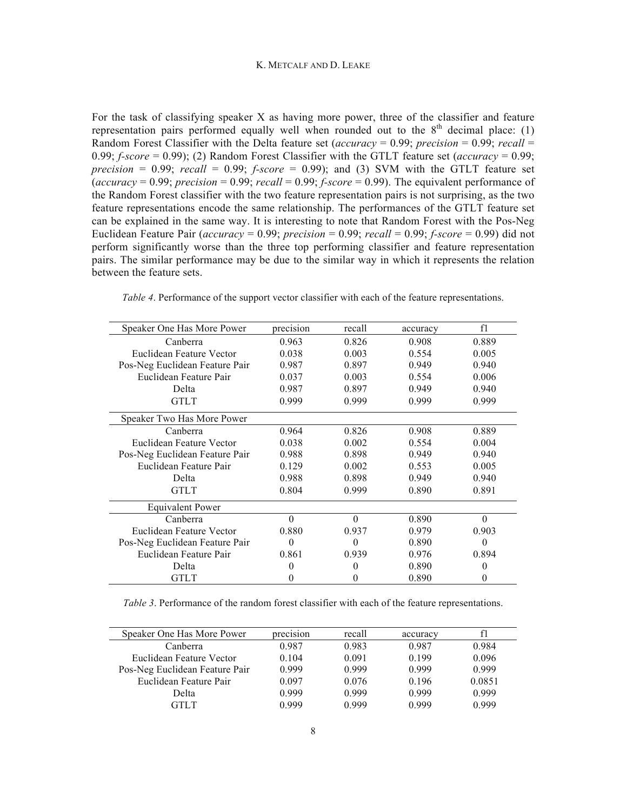For the task of classifying speaker X as having more power, three of the classifier and feature representation pairs performed equally well when rounded out to the  $8<sup>th</sup>$  decimal place: (1) Random Forest Classifier with the Delta feature set (*accuracy* = 0.99; *precision* = 0.99; *recall* = 0.99; *f-score* = 0.99); (2) Random Forest Classifier with the GTLT feature set (*accuracy* = 0.99; *precision* = 0.99; *recall* = 0.99; *f-score* = 0.99); and (3) SVM with the GTLT feature set  $(acurar = 0.99$ ; *precision* = 0.99; *recall* = 0.99; *f-score* = 0.99). The equivalent performance of the Random Forest classifier with the two feature representation pairs is not surprising, as the two feature representations encode the same relationship. The performances of the GTLT feature set can be explained in the same way. It is interesting to note that Random Forest with the Pos-Neg Euclidean Feature Pair (*accuracy* = 0.99; *precision* = 0.99; *recall* = 0.99; *f-score* = 0.99) did not perform significantly worse than the three top performing classifier and feature representation pairs. The similar performance may be due to the similar way in which it represents the relation between the feature sets.

| Speaker One Has More Power     | precision | recall   | accuracy | f1       |
|--------------------------------|-----------|----------|----------|----------|
| Canberra                       | 0.963     | 0.826    | 0.908    | 0.889    |
| Euclidean Feature Vector       | 0.038     | 0.003    | 0.554    | 0.005    |
| Pos-Neg Euclidean Feature Pair | 0.987     | 0.897    | 0.949    | 0.940    |
| Euclidean Feature Pair         | 0.037     | 0.003    | 0.554    | 0.006    |
| Delta                          | 0.987     | 0.897    | 0.949    | 0.940    |
| <b>GTLT</b>                    | 0.999     | 0.999    | 0.999    | 0.999    |
| Speaker Two Has More Power     |           |          |          |          |
| Canberra                       | 0.964     | 0.826    | 0.908    | 0.889    |
| Euclidean Feature Vector       | 0.038     | 0.002    | 0.554    | 0.004    |
| Pos-Neg Euclidean Feature Pair | 0.988     | 0.898    | 0.949    | 0.940    |
| Euclidean Feature Pair         | 0.129     | 0.002    | 0.553    | 0.005    |
| Delta                          | 0.988     | 0.898    | 0.949    | 0.940    |
| <b>GTLT</b>                    | 0.804     | 0.999    | 0.890    | 0.891    |
| <b>Equivalent Power</b>        |           |          |          |          |
| Canberra                       | $\theta$  | $\theta$ | 0.890    | $\theta$ |
| Euclidean Feature Vector       | 0.880     | 0.937    | 0.979    | 0.903    |
| Pos-Neg Euclidean Feature Pair | $\theta$  | 0        | 0.890    | $\theta$ |
| Euclidean Feature Pair         | 0.861     | 0.939    | 0.976    | 0.894    |
| Delta                          | 0         | 0        | 0.890    | 0        |
| <b>GTLT</b>                    | 0         | 0        | 0.890    | 0        |

*Table 4*. Performance of the support vector classifier with each of the feature representations.

*Table 3*. Performance of the random forest classifier with each of the feature representations.

| Speaker One Has More Power     | precision | recall | accuracy |        |
|--------------------------------|-----------|--------|----------|--------|
| Canberra                       | 0.987     | 0.983  | 0.987    | 0.984  |
| Euclidean Feature Vector       | 0.104     | 0.091  | 0 1 9 9  | 0.096  |
| Pos-Neg Euclidean Feature Pair | 0.999     | 0.999  | 0.999    | 0.999  |
| Euclidean Feature Pair         | 0.097     | 0.076  | 0.196    | 0.0851 |
| Delta                          | 0.999     | 0.999  | 0.999    | 0.999  |
| GTLT                           | 0.999     | 0.999  | 0.999    | 0.999  |
|                                |           |        |          |        |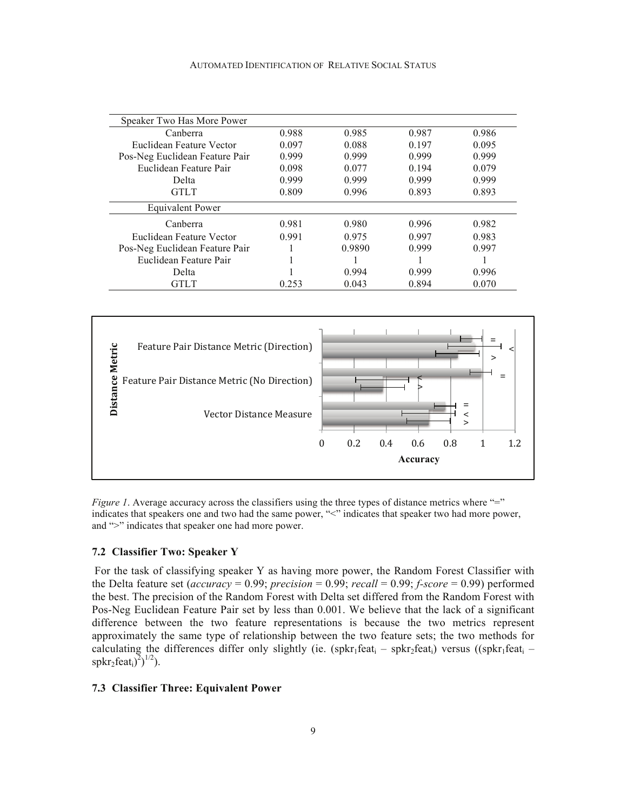| Speaker Two Has More Power     |       |        |       |       |
|--------------------------------|-------|--------|-------|-------|
| Canberra                       | 0.988 | 0.985  | 0.987 | 0.986 |
| Euclidean Feature Vector       | 0.097 | 0.088  | 0.197 | 0.095 |
| Pos-Neg Euclidean Feature Pair | 0.999 | 0.999  | 0.999 | 0.999 |
| Euclidean Feature Pair         | 0.098 | 0.077  | 0.194 | 0.079 |
| Delta                          | 0.999 | 0.999  | 0.999 | 0.999 |
| <b>GTLT</b>                    | 0.809 | 0.996  | 0.893 | 0.893 |
| Equivalent Power               |       |        |       |       |
| Canberra                       | 0.981 | 0.980  | 0.996 | 0.982 |
| Euclidean Feature Vector       | 0.991 | 0.975  | 0.997 | 0.983 |
| Pos-Neg Euclidean Feature Pair |       | 0.9890 | 0.999 | 0.997 |
| Euclidean Feature Pair         |       |        |       |       |
| Delta                          |       | 0.994  | 0.999 | 0.996 |
| GTLT                           | 0.253 | 0.043  | 0.894 | 0.070 |



*Figure 1*. Average accuracy across the classifiers using the three types of distance metrics where "=" indicates that speakers one and two had the same power, "<" indicates that speaker two had more power, and ">" indicates that speaker one had more power.

# **7.2 Classifier Two: Speaker Y**

 For the task of classifying speaker Y as having more power, the Random Forest Classifier with the Delta feature set (*accuracy* = 0.99; *precision* = 0.99; *recall* = 0.99; *f-score* = 0.99) performed the best. The precision of the Random Forest with Delta set differed from the Random Forest with Pos-Neg Euclidean Feature Pair set by less than 0.001. We believe that the lack of a significant difference between the two feature representations is because the two metrics represent approximately the same type of relationship between the two feature sets; the two methods for calculating the differences differ only slightly (ie. (spkr<sub>1</sub>feat<sub>i</sub> – spkr<sub>2</sub>feat<sub>i</sub>) versus ((spkr<sub>1</sub>feat<sub>i</sub> –  $\text{spkr}_2\text{feat}_i^2$ <sup>1/2</sup>).

# **7.3 Classifier Three: Equivalent Power**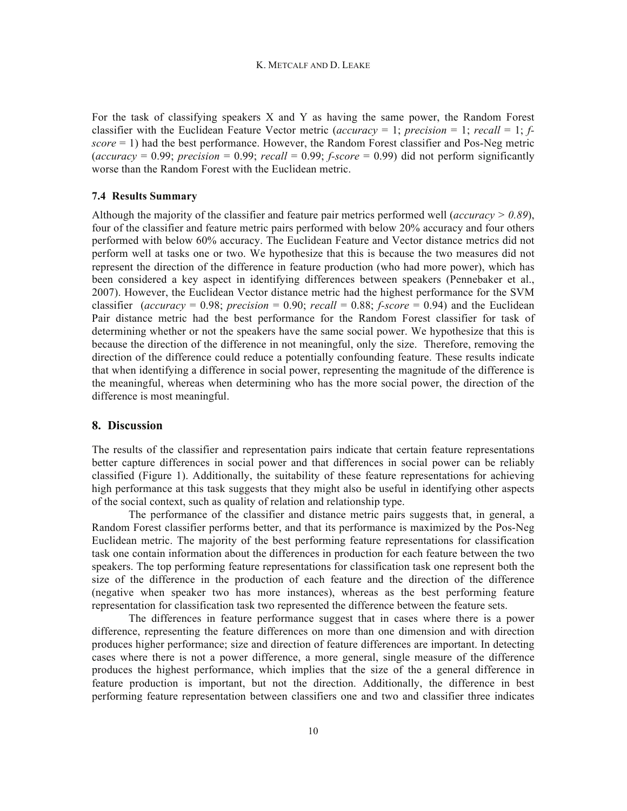For the task of classifying speakers X and Y as having the same power, the Random Forest classifier with the Euclidean Feature Vector metric (*accuracy* = 1; *precision* = 1; *recall* = 1; *fscore* = 1) had the best performance. However, the Random Forest classifier and Pos-Neg metric  $(accuracy = 0.99$ ; *precision* = 0.99; *recall* = 0.99; *f-score* = 0.99) did not perform significantly worse than the Random Forest with the Euclidean metric.

# **7.4 Results Summary**

Although the majority of the classifier and feature pair metrics performed well (*accuracy > 0.89*), four of the classifier and feature metric pairs performed with below 20% accuracy and four others performed with below 60% accuracy. The Euclidean Feature and Vector distance metrics did not perform well at tasks one or two. We hypothesize that this is because the two measures did not represent the direction of the difference in feature production (who had more power), which has been considered a key aspect in identifying differences between speakers (Pennebaker et al., 2007). However, the Euclidean Vector distance metric had the highest performance for the SVM classifier (*accuracy* = 0.98; *precision* = 0.90; *recall* = 0.88; *f-score* = 0.94) and the Euclidean Pair distance metric had the best performance for the Random Forest classifier for task of determining whether or not the speakers have the same social power. We hypothesize that this is because the direction of the difference in not meaningful, only the size. Therefore, removing the direction of the difference could reduce a potentially confounding feature. These results indicate that when identifying a difference in social power, representing the magnitude of the difference is the meaningful, whereas when determining who has the more social power, the direction of the difference is most meaningful.

# **8. Discussion**

The results of the classifier and representation pairs indicate that certain feature representations better capture differences in social power and that differences in social power can be reliably classified (Figure 1). Additionally, the suitability of these feature representations for achieving high performance at this task suggests that they might also be useful in identifying other aspects of the social context, such as quality of relation and relationship type.

The performance of the classifier and distance metric pairs suggests that, in general, a Random Forest classifier performs better, and that its performance is maximized by the Pos-Neg Euclidean metric. The majority of the best performing feature representations for classification task one contain information about the differences in production for each feature between the two speakers. The top performing feature representations for classification task one represent both the size of the difference in the production of each feature and the direction of the difference (negative when speaker two has more instances), whereas as the best performing feature representation for classification task two represented the difference between the feature sets.

The differences in feature performance suggest that in cases where there is a power difference, representing the feature differences on more than one dimension and with direction produces higher performance; size and direction of feature differences are important. In detecting cases where there is not a power difference, a more general, single measure of the difference produces the highest performance, which implies that the size of the a general difference in feature production is important, but not the direction. Additionally, the difference in best performing feature representation between classifiers one and two and classifier three indicates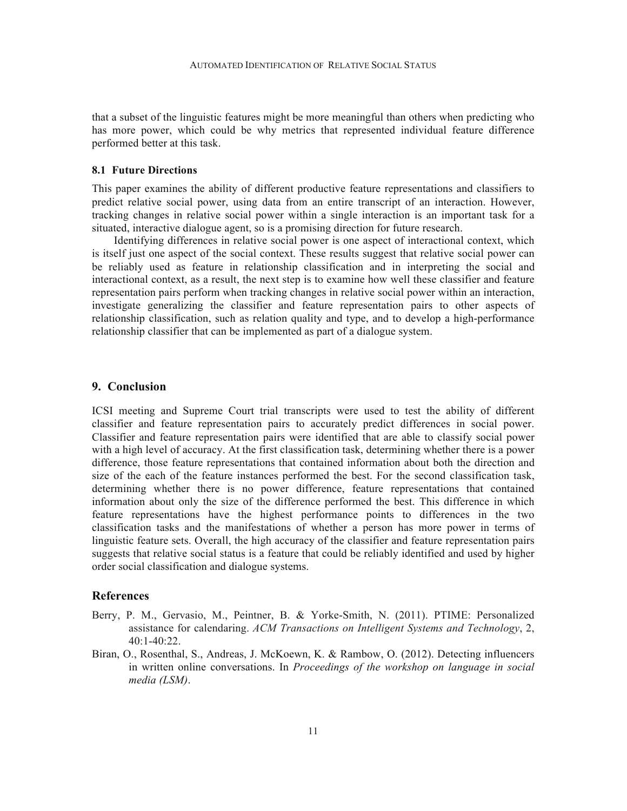that a subset of the linguistic features might be more meaningful than others when predicting who has more power, which could be why metrics that represented individual feature difference performed better at this task.

#### **8.1 Future Directions**

This paper examines the ability of different productive feature representations and classifiers to predict relative social power, using data from an entire transcript of an interaction. However, tracking changes in relative social power within a single interaction is an important task for a situated, interactive dialogue agent, so is a promising direction for future research.

Identifying differences in relative social power is one aspect of interactional context, which is itself just one aspect of the social context. These results suggest that relative social power can be reliably used as feature in relationship classification and in interpreting the social and interactional context, as a result, the next step is to examine how well these classifier and feature representation pairs perform when tracking changes in relative social power within an interaction, investigate generalizing the classifier and feature representation pairs to other aspects of relationship classification, such as relation quality and type, and to develop a high-performance relationship classifier that can be implemented as part of a dialogue system.

#### **9. Conclusion**

ICSI meeting and Supreme Court trial transcripts were used to test the ability of different classifier and feature representation pairs to accurately predict differences in social power. Classifier and feature representation pairs were identified that are able to classify social power with a high level of accuracy. At the first classification task, determining whether there is a power difference, those feature representations that contained information about both the direction and size of the each of the feature instances performed the best. For the second classification task, determining whether there is no power difference, feature representations that contained information about only the size of the difference performed the best. This difference in which feature representations have the highest performance points to differences in the two classification tasks and the manifestations of whether a person has more power in terms of linguistic feature sets. Overall, the high accuracy of the classifier and feature representation pairs suggests that relative social status is a feature that could be reliably identified and used by higher order social classification and dialogue systems.

#### **References**

- Berry, P. M., Gervasio, M., Peintner, B. & Yorke-Smith, N. (2011). PTIME: Personalized assistance for calendaring. *ACM Transactions on Intelligent Systems and Technology*, 2, 40:1-40:22.
- Biran, O., Rosenthal, S., Andreas, J. McKoewn, K. & Rambow, O. (2012). Detecting influencers in written online conversations. In *Proceedings of the workshop on language in social media (LSM)*.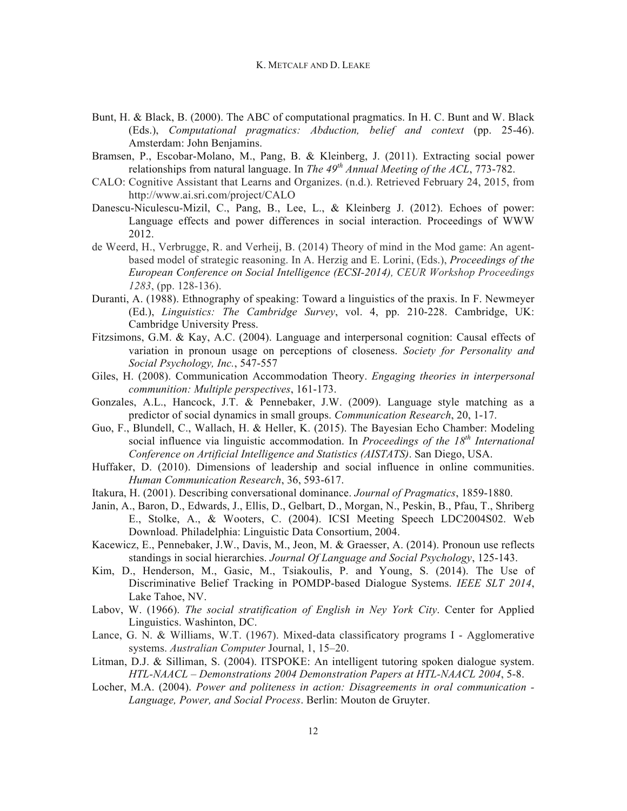- Bunt, H. & Black, B. (2000). The ABC of computational pragmatics. In H. C. Bunt and W. Black (Eds.), *Computational pragmatics: Abduction, belief and context* (pp. 25-46). Amsterdam: John Benjamins.
- Bramsen, P., Escobar-Molano, M., Pang, B. & Kleinberg, J. (2011). Extracting social power relationships from natural language. In *The 49th Annual Meeting of the ACL*, 773-782.
- CALO: Cognitive Assistant that Learns and Organizes. (n.d.). Retrieved February 24, 2015, from http://www.ai.sri.com/project/CALO
- Danescu-Niculescu-Mizil, C., Pang, B., Lee, L., & Kleinberg J. (2012). Echoes of power: Language effects and power differences in social interaction. Proceedings of WWW 2012.
- de Weerd, H., Verbrugge, R. and Verheij, B. (2014) Theory of mind in the Mod game: An agentbased model of strategic reasoning. In A. Herzig and E. Lorini, (Eds.), *Proceedings of the European Conference on Social Intelligence (ECSI-2014), CEUR Workshop Proceedings 1283*, (pp. 128-136).
- Duranti, A. (1988). Ethnography of speaking: Toward a linguistics of the praxis. In F. Newmeyer (Ed.), *Linguistics: The Cambridge Survey*, vol. 4, pp. 210-228. Cambridge, UK: Cambridge University Press.
- Fitzsimons, G.M. & Kay, A.C. (2004). Language and interpersonal cognition: Causal effects of variation in pronoun usage on perceptions of closeness. *Society for Personality and Social Psychology, Inc.*, 547-557
- Giles, H. (2008). Communication Accommodation Theory. *Engaging theories in interpersonal communition: Multiple perspectives*, 161-173.
- Gonzales, A.L., Hancock, J.T. & Pennebaker, J.W. (2009). Language style matching as a predictor of social dynamics in small groups. *Communication Research*, 20, 1-17.
- Guo, F., Blundell, C., Wallach, H. & Heller, K. (2015). The Bayesian Echo Chamber: Modeling social influence via linguistic accommodation. In *Proceedings of the 18th International Conference on Artificial Intelligence and Statistics (AISTATS)*. San Diego, USA.
- Huffaker, D. (2010). Dimensions of leadership and social influence in online communities. *Human Communication Research*, 36, 593-617.
- Itakura, H. (2001). Describing conversational dominance. *Journal of Pragmatics*, 1859-1880.
- Janin, A., Baron, D., Edwards, J., Ellis, D., Gelbart, D., Morgan, N., Peskin, B., Pfau, T., Shriberg E., Stolke, A., & Wooters, C. (2004). ICSI Meeting Speech LDC2004S02. Web Download. Philadelphia: Linguistic Data Consortium, 2004.
- Kacewicz, E., Pennebaker, J.W., Davis, M., Jeon, M. & Graesser, A. (2014). Pronoun use reflects standings in social hierarchies. *Journal Of Language and Social Psychology*, 125-143.
- Kim, D., Henderson, M., Gasic, M., Tsiakoulis, P. and Young, S. (2014). The Use of Discriminative Belief Tracking in POMDP-based Dialogue Systems. *IEEE SLT 2014*, Lake Tahoe, NV.
- Labov, W. (1966). *The social stratification of English in Ney York City*. Center for Applied Linguistics. Washinton, DC.
- Lance, G. N. & Williams, W.T. (1967). Mixed-data classificatory programs I Agglomerative systems. *Australian Computer* Journal, 1, 15–20.
- Litman, D.J. & Silliman, S. (2004). ITSPOKE: An intelligent tutoring spoken dialogue system. *HTL-NAACL – Demonstrations 2004 Demonstration Papers at HTL-NAACL 2004*, 5-8.
- Locher, M.A. (2004). *Power and politeness in action: Disagreements in oral communication Language, Power, and Social Process*. Berlin: Mouton de Gruyter.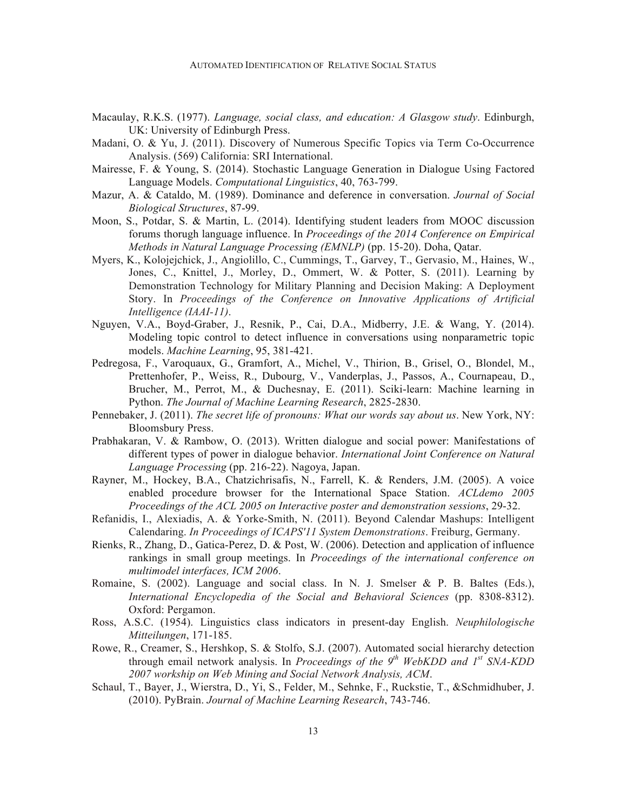- Macaulay, R.K.S. (1977). *Language, social class, and education: A Glasgow study*. Edinburgh, UK: University of Edinburgh Press.
- Madani, O. & Yu, J. (2011). Discovery of Numerous Specific Topics via Term Co-Occurrence Analysis. (569) California: SRI International.
- Mairesse, F. & Young, S. (2014). Stochastic Language Generation in Dialogue Using Factored Language Models. *Computational Linguistics*, 40, 763-799.
- Mazur, A. & Cataldo, M. (1989). Dominance and deference in conversation. *Journal of Social Biological Structures*, 87-99.
- Moon, S., Potdar, S. & Martin, L. (2014). Identifying student leaders from MOOC discussion forums thorugh language influence. In *Proceedings of the 2014 Conference on Empirical Methods in Natural Language Processing (EMNLP)* (pp. 15-20). Doha, Qatar.
- Myers, K., Kolojejchick, J., Angiolillo, C., Cummings, T., Garvey, T., Gervasio, M., Haines, W., Jones, C., Knittel, J., Morley, D., Ommert, W. & Potter, S. (2011). Learning by Demonstration Technology for Military Planning and Decision Making: A Deployment Story. In *Proceedings of the Conference on Innovative Applications of Artificial Intelligence (IAAI-11)*.
- Nguyen, V.A., Boyd-Graber, J., Resnik, P., Cai, D.A., Midberry, J.E. & Wang, Y. (2014). Modeling topic control to detect influence in conversations using nonparametric topic models. *Machine Learning*, 95, 381-421.
- Pedregosa, F., Varoquaux, G., Gramfort, A., Michel, V., Thirion, B., Grisel, O., Blondel, M., Prettenhofer, P., Weiss, R., Dubourg, V., Vanderplas, J., Passos, A., Cournapeau, D., Brucher, M., Perrot, M., & Duchesnay, E. (2011). Sciki-learn: Machine learning in Python. *The Journal of Machine Learning Research*, 2825-2830.
- Pennebaker, J. (2011). *The secret life of pronouns: What our words say about us*. New York, NY: Bloomsbury Press.
- Prabhakaran, V. & Rambow, O. (2013). Written dialogue and social power: Manifestations of different types of power in dialogue behavior. *International Joint Conference on Natural Language Processing* (pp. 216-22). Nagoya, Japan.
- Rayner, M., Hockey, B.A., Chatzichrisafis, N., Farrell, K. & Renders, J.M. (2005). A voice enabled procedure browser for the International Space Station. *ACLdemo 2005 Proceedings of the ACL 2005 on Interactive poster and demonstration sessions*, 29-32.
- Refanidis, I., Alexiadis, A. & Yorke-Smith, N. (2011). Beyond Calendar Mashups: Intelligent Calendaring. *In Proceedings of ICAPS'11 System Demonstrations*. Freiburg, Germany.
- Rienks, R., Zhang, D., Gatica-Perez, D. & Post, W. (2006). Detection and application of influence rankings in small group meetings. In *Proceedings of the international conference on multimodel interfaces, ICM 2006*.
- Romaine, S. (2002). Language and social class. In N. J. Smelser & P. B. Baltes (Eds.), *International Encyclopedia of the Social and Behavioral Sciences* (pp. 8308-8312). Oxford: Pergamon.
- Ross, A.S.C. (1954). Linguistics class indicators in present-day English. *Neuphilologische Mitteilungen*, 171-185.
- Rowe, R., Creamer, S., Hershkop, S. & Stolfo, S.J. (2007). Automated social hierarchy detection through email network analysis. In *Proceedings of the 9th WebKDD and 1st SNA-KDD 2007 workship on Web Mining and Social Network Analysis, ACM*.
- Schaul, T., Bayer, J., Wierstra, D., Yi, S., Felder, M., Sehnke, F., Ruckstie, T., &Schmidhuber, J. (2010). PyBrain. *Journal of Machine Learning Research*, 743-746.